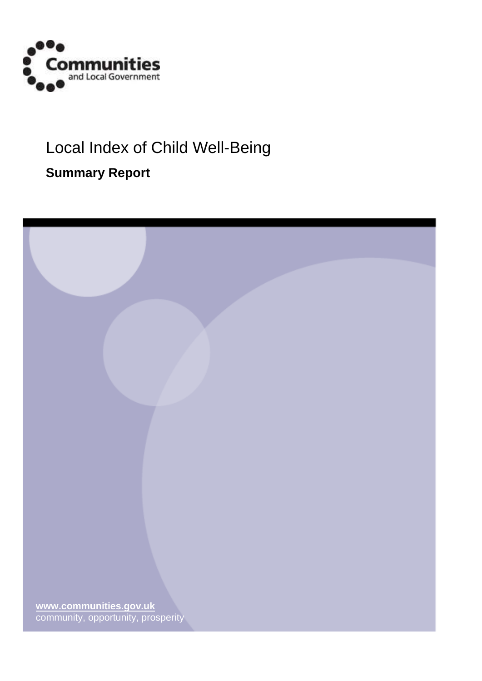

# Local Index of Child Well-Being

# **Summary Report**

| www.communities.gov.uk<br>community, opportunity, prosperity |  |
|--------------------------------------------------------------|--|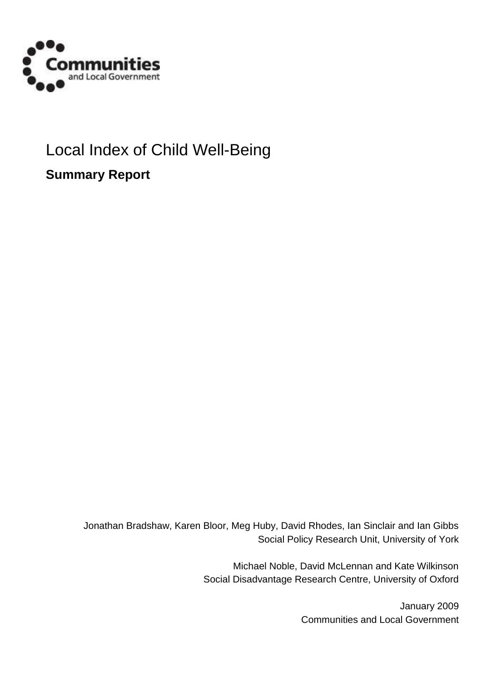

# Local Index of Child Well-Being

**Summary Report**

Jonathan Bradshaw, Karen Bloor, Meg Huby, David Rhodes, Ian Sinclair and Ian Gibbs Social Policy Research Unit, University of York

> Michael Noble, David McLennan and Kate Wilkinson Social Disadvantage Research Centre, University of Oxford

> > January 2009 Communities and Local Government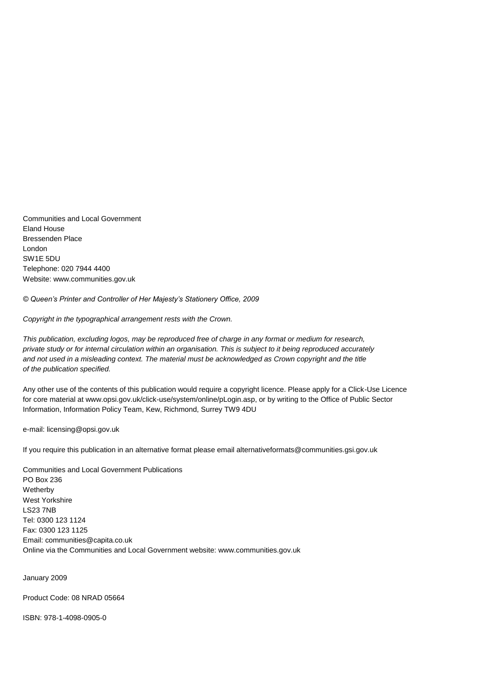Communities and Local Government Eland House Bressenden Place London SW1E 5DU Telephone: 020 7944 4400 Website: www.communities.gov.uk

*© Queen's Printer and Controller of Her Majesty's Stationery Office, 2009*

*Copyright in the typographical arrangement rests with the Crown.*

*This publication, excluding logos, may be reproduced free of charge in any format or medium for research, private study or for internal circulation within an organisation. This is subject to it being reproduced accurately* and not used in a misleading context. The material must be acknowledged as Crown copyright and the title *of the publication specified.*

Any other use of the contents of this publication would require a copyright licence. Please apply for a Click-Use Licence for core material at www.opsi.gov.uk/click-use/system/online/pLogin.asp, or by writing to the Office of Public Sector Information, Information Policy Team, Kew, Richmond, Surrey TW9 4DU

e-mail: licensing@opsi.gov.uk

If you require this publication in an alternative format please email alternativeformats@communities.gsi.gov.uk

Communities and Local Government Publications PO Box 236 Wetherby West Yorkshire LS23 7NB Tel: 0300 123 1124 Fax: 0300 123 1125 Email: communities@capita.co.uk Online via the Communities and Local Government website: www.communities.gov.uk

January 2009

Product Code: 08 NRAD 05664

ISBN: 978-1-4098-0905-0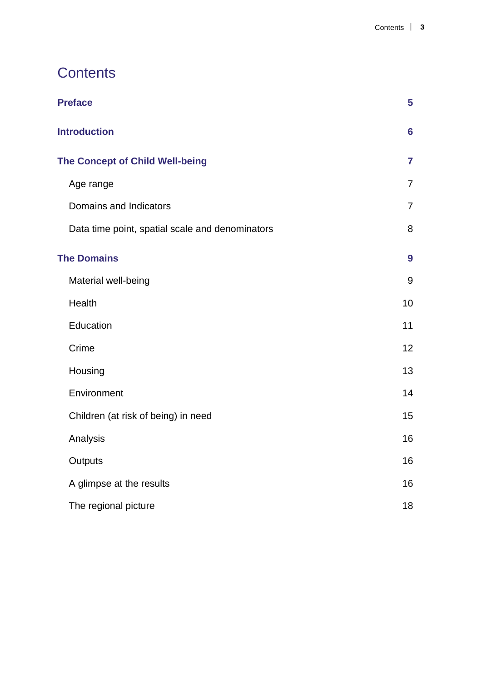# **Contents**

| <b>Preface</b>                                  | 5              |
|-------------------------------------------------|----------------|
| <b>Introduction</b>                             | $6\phantom{a}$ |
| <b>The Concept of Child Well-being</b>          | $\overline{7}$ |
| Age range                                       | $\overline{7}$ |
| Domains and Indicators                          | $\overline{7}$ |
| Data time point, spatial scale and denominators | 8              |
| <b>The Domains</b>                              | 9              |
| Material well-being                             | 9              |
| Health                                          | 10             |
| Education                                       | 11             |
| Crime                                           | 12             |
| Housing                                         | 13             |
| Environment                                     | 14             |
| Children (at risk of being) in need             | 15             |
| Analysis                                        | 16             |
| Outputs                                         | 16             |
| A glimpse at the results                        | 16             |
| The regional picture                            | 18             |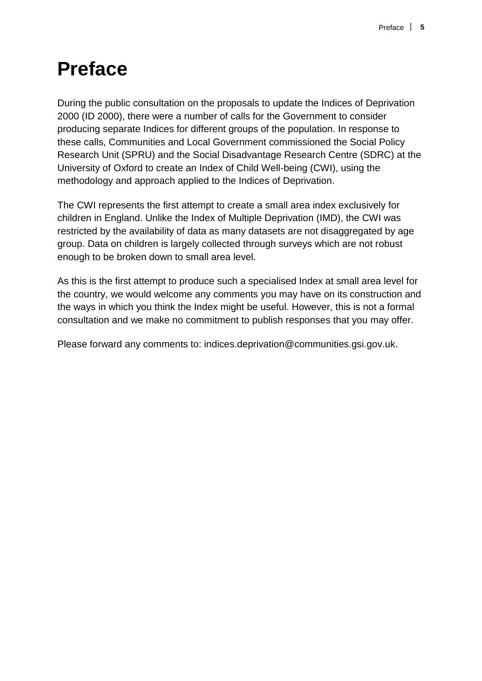# **Preface**

During the public consultation on the proposals to update the Indices of Deprivation 2000 (ID 2000), there were a number of calls for the Government to consider producing separate Indices for different groups of the population. In response to these calls, Communities and Local Government commissioned the Social Policy Research Unit (SPRU) and the Social Disadvantage Research Centre (SDRC) at the University of Oxford to create an Index of Child Well-being (CWI), using the methodology and approach applied to the Indices of Deprivation.

The CWI represents the first attempt to create a small area index exclusively for children in England. Unlike the Index of Multiple Deprivation (IMD), the CWI was restricted by the availability of data as many datasets are not disaggregated by age group. Data on children is largely collected through surveys which are not robust enough to be broken down to small area level.

As this is the first attempt to produce such a specialised Index at small area level for the country, we would welcome any comments you may have on its construction and the ways in which you think the Index might be useful. However, this is not a formal consultation and we make no commitment to publish responses that you may offer.

Please forward any comments to: indices.deprivation@communities.gsi.gov.uk.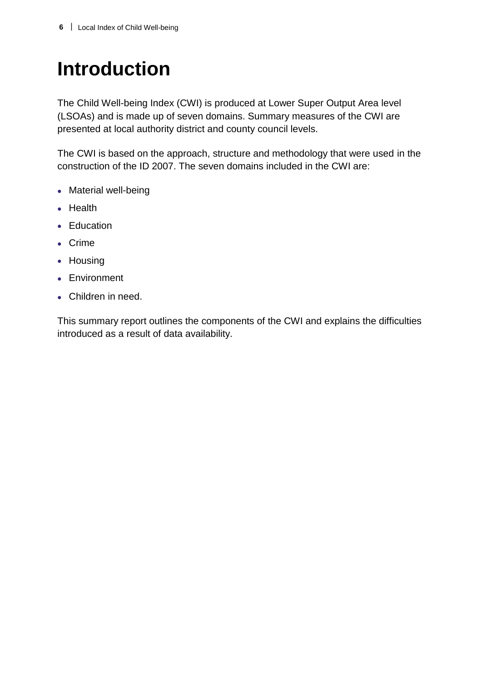# **Introduction**

The Child Well-being Index (CWI) is produced at Lower Super Output Area level (LSOAs) and is made up of seven domains. Summary measures of the CWI are presented at local authority district and county council levels.

The CWI is based on the approach, structure and methodology that were used in the construction of the ID 2007. The seven domains included in the CWI are:

- Material well-being
- Health
- Education
- Crime
- Housing
- **Environment**
- Children in need.

This summary report outlines the components of the CWI and explains the difficulties introduced as a result of data availability.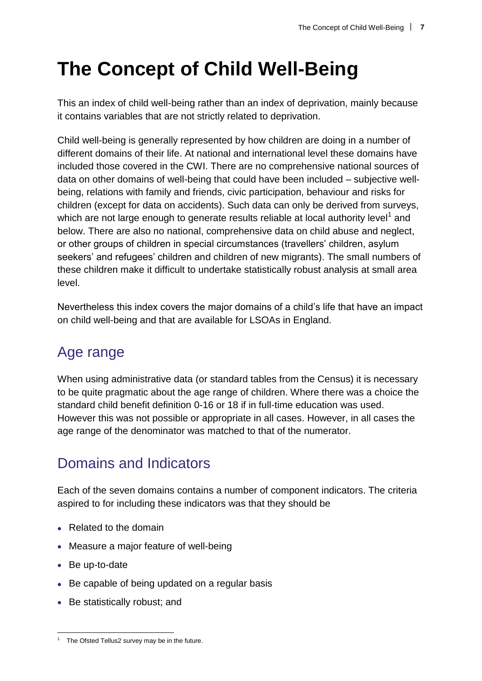# **The Concept of Child Well-Being**

This an index of child well-being rather than an index of deprivation, mainly because it contains variables that are not strictly related to deprivation.

Child well-being is generally represented by how children are doing in a number of different domains of their life. At national and international level these domains have included those covered in the CWI. There are no comprehensive national sources of data on other domains of well-being that could have been included – subjective wellbeing, relations with family and friends, civic participation, behaviour and risks for children (except for data on accidents). Such data can only be derived from surveys, which are not large enough to generate results reliable at local authority level<sup>1</sup> and below. There are also no national, comprehensive data on child abuse and neglect, or other groups of children in special circumstances (travellers' children, asylum seekers' and refugees' children and children of new migrants). The small numbers of these children make it difficult to undertake statistically robust analysis at small area level.

Nevertheless this index covers the major domains of a child's life that have an impact on child well-being and that are available for LSOAs in England.

# Age range

When using administrative data (or standard tables from the Census) it is necessary to be quite pragmatic about the age range of children. Where there was a choice the standard child benefit definition 0-16 or 18 if in full-time education was used. However this was not possible or appropriate in all cases. However, in all cases the age range of the denominator was matched to that of the numerator.

# Domains and Indicators

Each of the seven domains contains a number of component indicators. The criteria aspired to for including these indicators was that they should be

- Related to the domain
- Measure a major feature of well-being
- Be up-to-date

 $\overline{a}$ 

- Be capable of being updated on a regular basis
- Be statistically robust; and

The Ofsted Tellus2 survey may be in the future.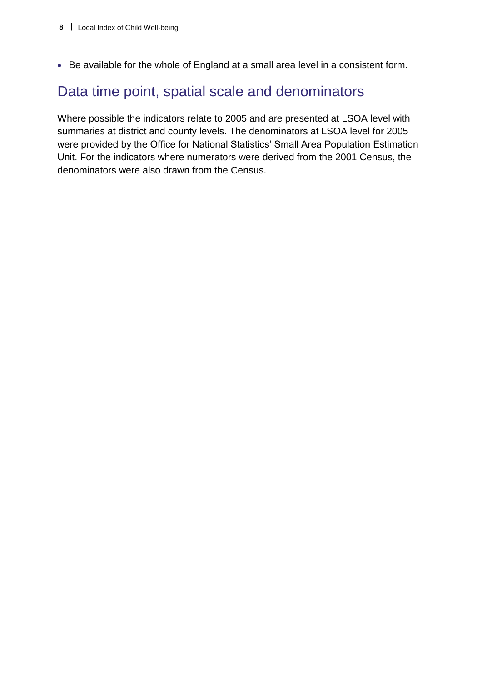Be available for the whole of England at a small area level in a consistent form.

### Data time point, spatial scale and denominators

Where possible the indicators relate to 2005 and are presented at LSOA level with summaries at district and county levels. The denominators at LSOA level for 2005 were provided by the Office for National Statistics' Small Area Population Estimation Unit. For the indicators where numerators were derived from the 2001 Census, the denominators were also drawn from the Census.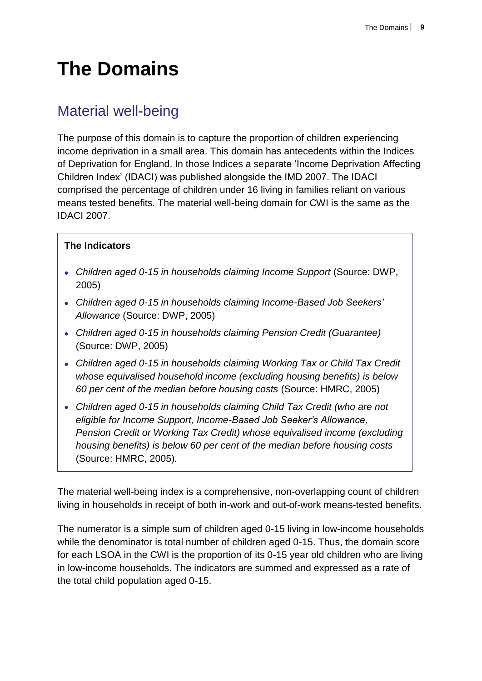# **The Domains**

## Material well-being

The purpose of this domain is to capture the proportion of children experiencing income deprivation in a small area. This domain has antecedents within the Indices of Deprivation for England. In those Indices a separate 'Income Deprivation Affecting Children Index' (IDACI) was published alongside the IMD 2007. The IDACI comprised the percentage of children under 16 living in families reliant on various means tested benefits. The material well-being domain for CWI is the same as the IDACI 2007.

#### **The Indicators**

- *Children aged 0-15 in households claiming Income Support* (Source: DWP, 2005)
- *Children aged 0-15 in households claiming Income-Based Job Seekers' Allowance* (Source: DWP, 2005)
- *Children aged 0-15 in households claiming Pension Credit (Guarantee)* (Source: DWP, 2005)
- *Children aged 0-15 in households claiming Working Tax or Child Tax Credit whose equivalised household income (excluding housing benefits) is below 60 per cent of the median before housing costs* (Source: HMRC, 2005)
- *Children aged 0-15 in households claiming Child Tax Credit (who are not eligible for Income Support, Income-Based Job Seeker's Allowance, Pension Credit or Working Tax Credit) whose equivalised income (excluding housing benefits) is below 60 per cent of the median before housing costs* (Source: HMRC, 2005).

The material well-being index is a comprehensive, non-overlapping count of children living in households in receipt of both in-work and out-of-work means-tested benefits.

The numerator is a simple sum of children aged 0-15 living in low-income households while the denominator is total number of children aged 0-15. Thus, the domain score for each LSOA in the CWI is the proportion of its 0-15 year old children who are living in low-income households. The indicators are summed and expressed as a rate of the total child population aged 0-15.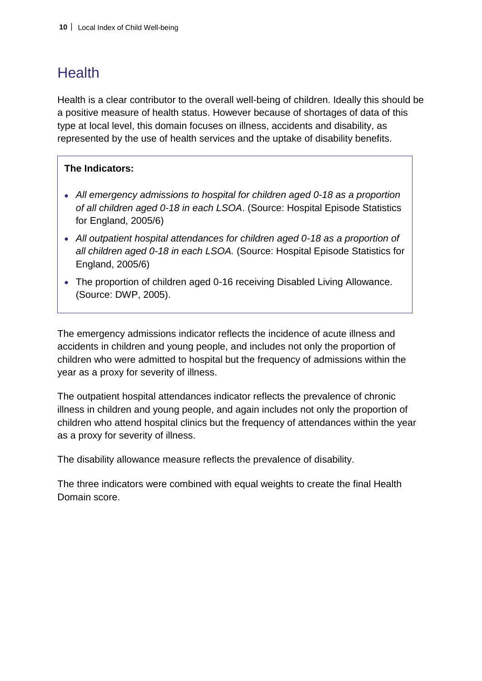## **Health**

Health is a clear contributor to the overall well-being of children. Ideally this should be a positive measure of health status. However because of shortages of data of this type at local level, this domain focuses on illness, accidents and disability, as represented by the use of health services and the uptake of disability benefits.

### **The Indicators:**

- *All emergency admissions to hospital for children aged 0-18 as a proportion of all children aged 0-18 in each LSOA*. (Source: Hospital Episode Statistics for England, 2005/6)
- *All outpatient hospital attendances for children aged 0-18 as a proportion of all children aged 0-18 in each LSOA.* (Source: Hospital Episode Statistics for England, 2005/6)
- The proportion of children aged 0-16 receiving Disabled Living Allowance. (Source: DWP, 2005).

The emergency admissions indicator reflects the incidence of acute illness and accidents in children and young people, and includes not only the proportion of children who were admitted to hospital but the frequency of admissions within the year as a proxy for severity of illness.

The outpatient hospital attendances indicator reflects the prevalence of chronic illness in children and young people, and again includes not only the proportion of children who attend hospital clinics but the frequency of attendances within the year as a proxy for severity of illness.

The disability allowance measure reflects the prevalence of disability.

The three indicators were combined with equal weights to create the final Health Domain score.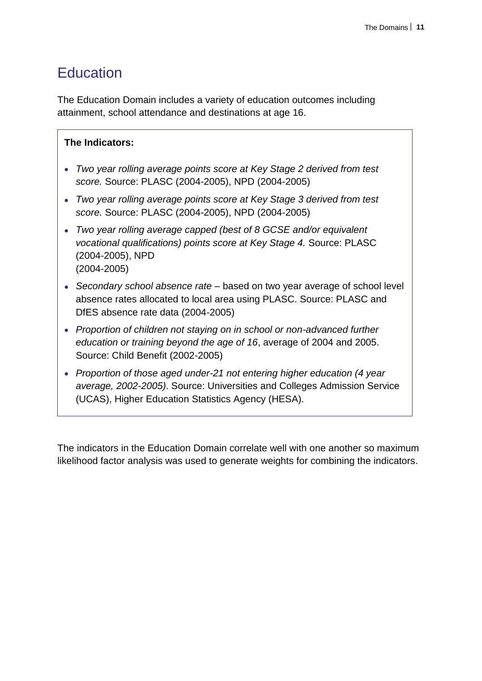### **Education**

The Education Domain includes a variety of education outcomes including attainment, school attendance and destinations at age 16.

#### **The Indicators:**

- *Two year rolling average points score at Key Stage 2 derived from test score.* Source: PLASC (2004-2005), NPD (2004-2005)
- *Two year rolling average points score at Key Stage 3 derived from test score.* Source: PLASC (2004-2005), NPD (2004-2005)
- *Two year rolling average capped (best of 8 GCSE and/or equivalent vocational qualifications) points score at Key Stage 4.* Source: PLASC (2004-2005), NPD (2004-2005)
- *Secondary school absence rate* based on two year average of school level absence rates allocated to local area using PLASC. Source: PLASC and DfES absence rate data (2004-2005)
- *Proportion of children not staying on in school or non-advanced further education or training beyond the age of 16*, average of 2004 and 2005. Source: Child Benefit (2002-2005)
- *Proportion of those aged under-21 not entering higher education (4 year average, 2002-2005)*. Source: Universities and Colleges Admission Service (UCAS), Higher Education Statistics Agency (HESA).

The indicators in the Education Domain correlate well with one another so maximum likelihood factor analysis was used to generate weights for combining the indicators.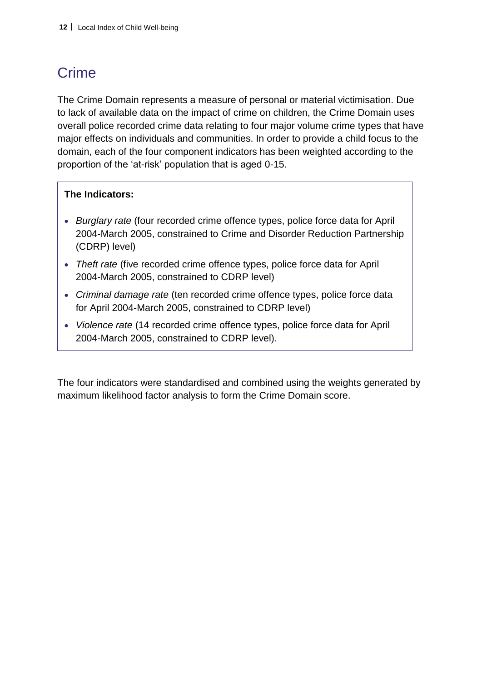# Crime

The Crime Domain represents a measure of personal or material victimisation. Due to lack of available data on the impact of crime on children, the Crime Domain uses overall police recorded crime data relating to four major volume crime types that have major effects on individuals and communities. In order to provide a child focus to the domain, each of the four component indicators has been weighted according to the proportion of the 'at-risk' population that is aged 0-15.

#### **The Indicators:**

- *Burglary rate* (four recorded crime offence types, police force data for April 2004-March 2005, constrained to Crime and Disorder Reduction Partnership (CDRP) level)
- *Theft rate* (five recorded crime offence types, police force data for April 2004-March 2005, constrained to CDRP level)
- *Criminal damage rate* (ten recorded crime offence types, police force data for April 2004-March 2005, constrained to CDRP level)
- *Violence rate* (14 recorded crime offence types, police force data for April 2004-March 2005, constrained to CDRP level).

The four indicators were standardised and combined using the weights generated by maximum likelihood factor analysis to form the Crime Domain score.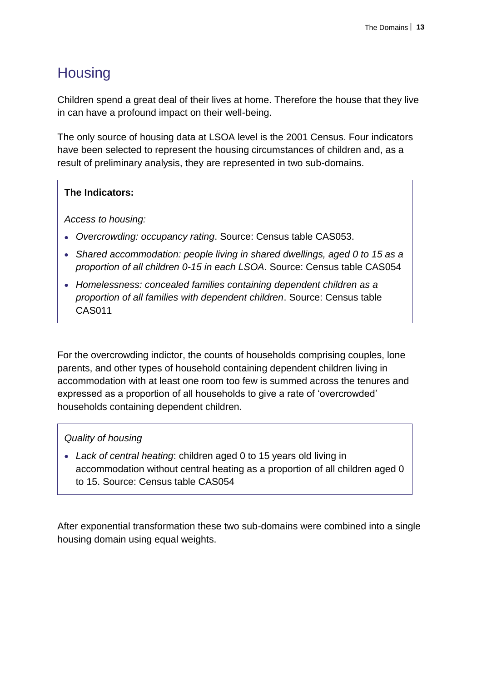# **Housing**

Children spend a great deal of their lives at home. Therefore the house that they live in can have a profound impact on their well-being.

The only source of housing data at LSOA level is the 2001 Census. Four indicators have been selected to represent the housing circumstances of children and, as a result of preliminary analysis, they are represented in two sub-domains.

#### **The Indicators:**

*Access to housing:*

- *Overcrowding: occupancy rating*. Source: Census table CAS053.
- *Shared accommodation: people living in shared dwellings, aged 0 to 15 as a proportion of all children 0-15 in each LSOA*. Source: Census table CAS054
- *Homelessness: concealed families containing dependent children as a proportion of all families with dependent children*. Source: Census table CAS011

For the overcrowding indictor, the counts of households comprising couples, lone parents, and other types of household containing dependent children living in accommodation with at least one room too few is summed across the tenures and expressed as a proportion of all households to give a rate of 'overcrowded' households containing dependent children.

#### *Quality of housing*

 *Lack of central heating*: children aged 0 to 15 years old living in accommodation without central heating as a proportion of all children aged 0 to 15. Source: Census table CAS054

After exponential transformation these two sub-domains were combined into a single housing domain using equal weights.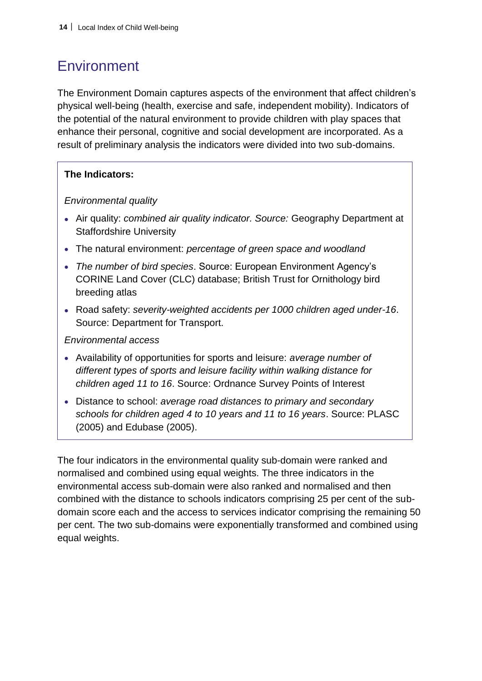# **Environment**

The Environment Domain captures aspects of the environment that affect children's physical well-being (health, exercise and safe, independent mobility). Indicators of the potential of the natural environment to provide children with play spaces that enhance their personal, cognitive and social development are incorporated. As a result of preliminary analysis the indicators were divided into two sub-domains.

### **The Indicators:**

*Environmental quality*

- Air quality: *combined air quality indicator. Source:* Geography Department at Staffordshire University
- The natural environment: *percentage of green space and woodland*
- *The number of bird species*. Source: European Environment Agency's CORINE Land Cover (CLC) database; British Trust for Ornithology bird breeding atlas
- Road safety: *severity-weighted accidents per 1000 children aged under-16*. Source: Department for Transport.

*Environmental access*

- Availability of opportunities for sports and leisure: *average number of different types of sports and leisure facility within walking distance for children aged 11 to 16*. Source: Ordnance Survey Points of Interest
- Distance to school: *average road distances to primary and secondary schools for children aged 4 to 10 years and 11 to 16 years*. Source: PLASC (2005) and Edubase (2005).

The four indicators in the environmental quality sub-domain were ranked and normalised and combined using equal weights. The three indicators in the environmental access sub-domain were also ranked and normalised and then combined with the distance to schools indicators comprising 25 per cent of the subdomain score each and the access to services indicator comprising the remaining 50 per cent. The two sub-domains were exponentially transformed and combined using equal weights.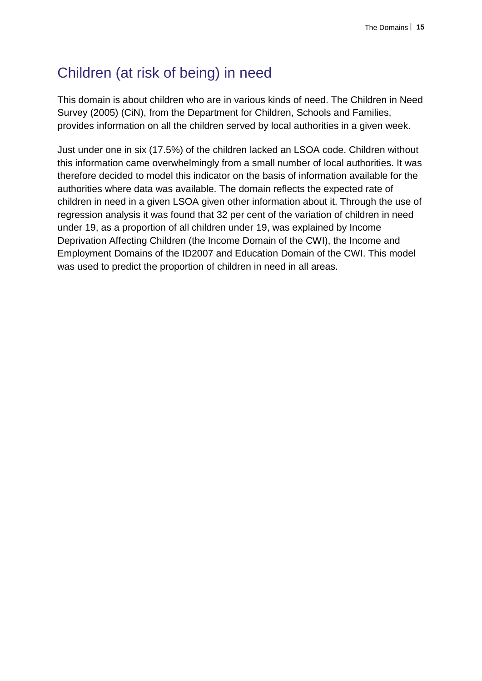## Children (at risk of being) in need

This domain is about children who are in various kinds of need. The Children in Need Survey (2005) (CiN), from the Department for Children, Schools and Families, provides information on all the children served by local authorities in a given week.

Just under one in six (17.5%) of the children lacked an LSOA code. Children without this information came overwhelmingly from a small number of local authorities. It was therefore decided to model this indicator on the basis of information available for the authorities where data was available. The domain reflects the expected rate of children in need in a given LSOA given other information about it. Through the use of regression analysis it was found that 32 per cent of the variation of children in need under 19, as a proportion of all children under 19, was explained by Income Deprivation Affecting Children (the Income Domain of the CWI), the Income and Employment Domains of the ID2007 and Education Domain of the CWI. This model was used to predict the proportion of children in need in all areas.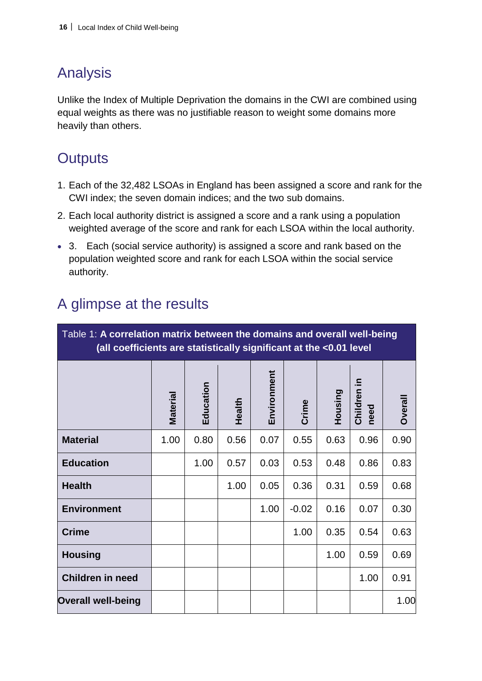## Analysis

Unlike the Index of Multiple Deprivation the domains in the CWI are combined using equal weights as there was no justifiable reason to weight some domains more heavily than others.

## **Outputs**

- 1. Each of the 32,482 LSOAs in England has been assigned a score and rank for the CWI index; the seven domain indices; and the two sub domains.
- 2. Each local authority district is assigned a score and a rank using a population weighted average of the score and rank for each LSOA within the local authority.
- 3. Each (social service authority) is assigned a score and rank based on the population weighted score and rank for each LSOA within the social service authority.

| Table 1: A correlation matrix between the domains and overall well-being<br>(all coefficients are statistically significant at the <0.01 level |          |           |        |             |         |         |                        |                |
|------------------------------------------------------------------------------------------------------------------------------------------------|----------|-----------|--------|-------------|---------|---------|------------------------|----------------|
|                                                                                                                                                | Material | Education | Health | Environment | Crime   | Housing | ≘.<br>Children<br>need | <b>Dverall</b> |
| <b>Material</b>                                                                                                                                | 1.00     | 0.80      | 0.56   | 0.07        | 0.55    | 0.63    | 0.96                   | 0.90           |
| <b>Education</b>                                                                                                                               |          | 1.00      | 0.57   | 0.03        | 0.53    | 0.48    | 0.86                   | 0.83           |
| <b>Health</b>                                                                                                                                  |          |           | 1.00   | 0.05        | 0.36    | 0.31    | 0.59                   | 0.68           |
| <b>Environment</b>                                                                                                                             |          |           |        | 1.00        | $-0.02$ | 0.16    | 0.07                   | 0.30           |
| <b>Crime</b>                                                                                                                                   |          |           |        |             | 1.00    | 0.35    | 0.54                   | 0.63           |
| <b>Housing</b>                                                                                                                                 |          |           |        |             |         | 1.00    | 0.59                   | 0.69           |
| <b>Children in need</b>                                                                                                                        |          |           |        |             |         |         | 1.00                   | 0.91           |
| <b>Overall well-being</b>                                                                                                                      |          |           |        |             |         |         |                        | 1.00           |

## A glimpse at the results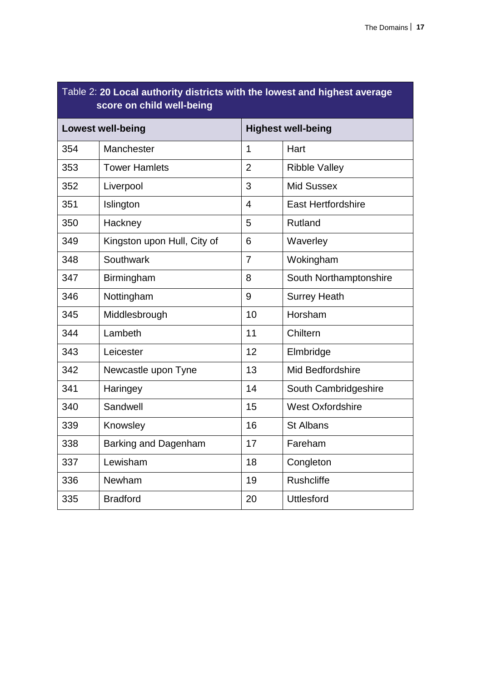| Table 2: 20 Local authority districts with the lowest and highest average<br>score on child well-being |                             |                           |                           |  |  |
|--------------------------------------------------------------------------------------------------------|-----------------------------|---------------------------|---------------------------|--|--|
| <b>Lowest well-being</b>                                                                               |                             | <b>Highest well-being</b> |                           |  |  |
| 354                                                                                                    | Manchester                  | 1                         | Hart                      |  |  |
| 353                                                                                                    | <b>Tower Hamlets</b>        | $\overline{2}$            | <b>Ribble Valley</b>      |  |  |
| 352                                                                                                    | Liverpool                   | 3                         | <b>Mid Sussex</b>         |  |  |
| 351                                                                                                    | Islington                   | $\overline{4}$            | <b>East Hertfordshire</b> |  |  |
| 350                                                                                                    | Hackney                     | 5                         | Rutland                   |  |  |
| 349                                                                                                    | Kingston upon Hull, City of | 6                         | Waverley                  |  |  |
| 348                                                                                                    | Southwark                   | $\overline{7}$            | Wokingham                 |  |  |
| 347                                                                                                    | Birmingham                  | 8                         | South Northamptonshire    |  |  |
| 346                                                                                                    | Nottingham                  | 9                         | <b>Surrey Heath</b>       |  |  |
| 345                                                                                                    | Middlesbrough               | 10                        | Horsham                   |  |  |
| 344                                                                                                    | Lambeth                     | 11                        | Chiltern                  |  |  |
| 343                                                                                                    | Leicester                   | 12                        | Elmbridge                 |  |  |
| 342                                                                                                    | Newcastle upon Tyne         | 13                        | Mid Bedfordshire          |  |  |
| 341                                                                                                    | Haringey                    | 14                        | South Cambridgeshire      |  |  |
| 340                                                                                                    | Sandwell                    | 15                        | <b>West Oxfordshire</b>   |  |  |
| 339                                                                                                    | Knowsley                    | 16                        | <b>St Albans</b>          |  |  |
| 338                                                                                                    | <b>Barking and Dagenham</b> | 17                        | Fareham                   |  |  |
| 337                                                                                                    | Lewisham                    | 18                        | Congleton                 |  |  |
| 336                                                                                                    | Newham                      | 19                        | Rushcliffe                |  |  |
| 335                                                                                                    | <b>Bradford</b>             | 20                        | <b>Uttlesford</b>         |  |  |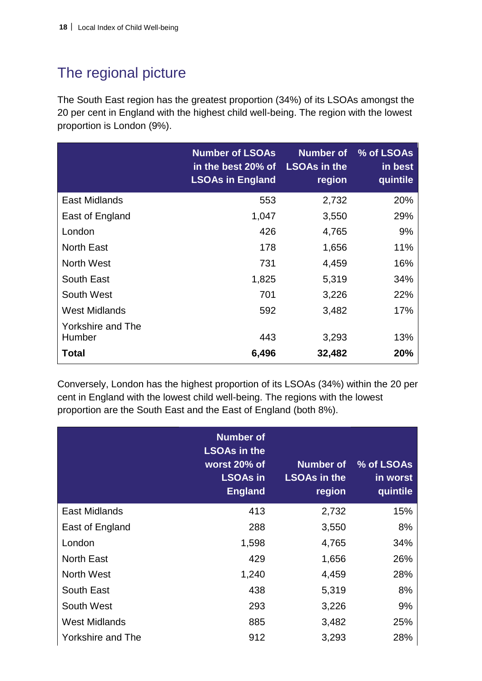# The regional picture

The South East region has the greatest proportion (34%) of its LSOAs amongst the 20 per cent in England with the highest child well-being. The region with the lowest proportion is London (9%).

|                             | <b>Number of LSOAs</b><br>in the best 20% of<br><b>LSOAs in England</b> | Number of<br><b>LSOAs in the</b><br>region | % of LSOAs<br>in best<br>quintile |
|-----------------------------|-------------------------------------------------------------------------|--------------------------------------------|-----------------------------------|
| East Midlands               | 553                                                                     | 2,732                                      | 20%                               |
| East of England             | 1,047                                                                   | 3,550                                      | 29%                               |
| London                      | 426                                                                     | 4,765                                      | 9%                                |
| <b>North East</b>           | 178                                                                     | 1,656                                      | 11%                               |
| <b>North West</b>           | 731                                                                     | 4,459                                      | 16%                               |
| South East                  | 1,825                                                                   | 5,319                                      | 34%                               |
| South West                  | 701                                                                     | 3,226                                      | 22%                               |
| <b>West Midlands</b>        | 592                                                                     | 3,482                                      | 17%                               |
| Yorkshire and The<br>Humber | 443                                                                     | 3,293                                      | 13%                               |
| <b>Total</b>                | 6,496                                                                   | 32,482                                     | 20%                               |

Conversely, London has the highest proportion of its LSOAs (34%) within the 20 per cent in England with the lowest child well-being. The regions with the lowest proportion are the South East and the East of England (both 8%).

|                          | <b>Number of</b><br><b>LSOAs in the</b><br>worst 20% of<br><b>LSOAs in</b><br><b>England</b> | Number of<br><b>LSOAs in the</b><br>region | % of LSOAs<br>in worst<br>quintile |
|--------------------------|----------------------------------------------------------------------------------------------|--------------------------------------------|------------------------------------|
| <b>East Midlands</b>     | 413                                                                                          | 2,732                                      | 15%                                |
| East of England          | 288                                                                                          | 3,550                                      | 8%                                 |
| London                   | 1,598                                                                                        | 4,765                                      | 34%                                |
| <b>North East</b>        | 429                                                                                          | 1,656                                      | 26%                                |
| <b>North West</b>        | 1,240                                                                                        | 4,459                                      | 28%                                |
| South East               | 438                                                                                          | 5,319                                      | 8%                                 |
| South West               | 293                                                                                          | 3,226                                      | 9%                                 |
| <b>West Midlands</b>     | 885                                                                                          | 3,482                                      | 25%                                |
| <b>Yorkshire and The</b> | 912                                                                                          | 3,293                                      | 28%                                |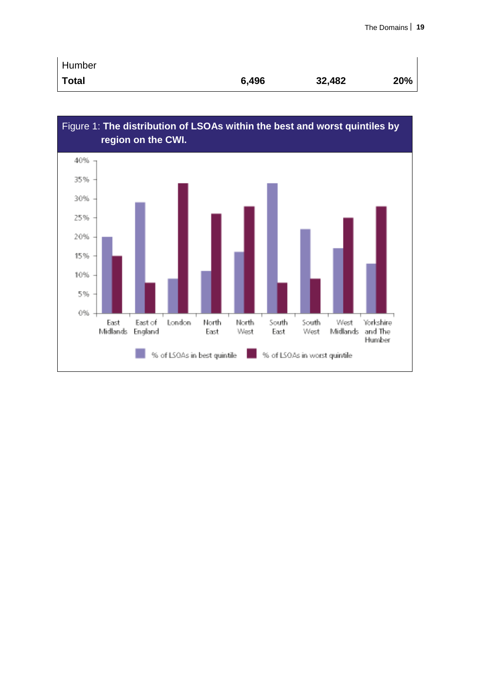| Humber       |       |        |     |
|--------------|-------|--------|-----|
| <b>Total</b> | 6,496 | 32,482 | 20% |